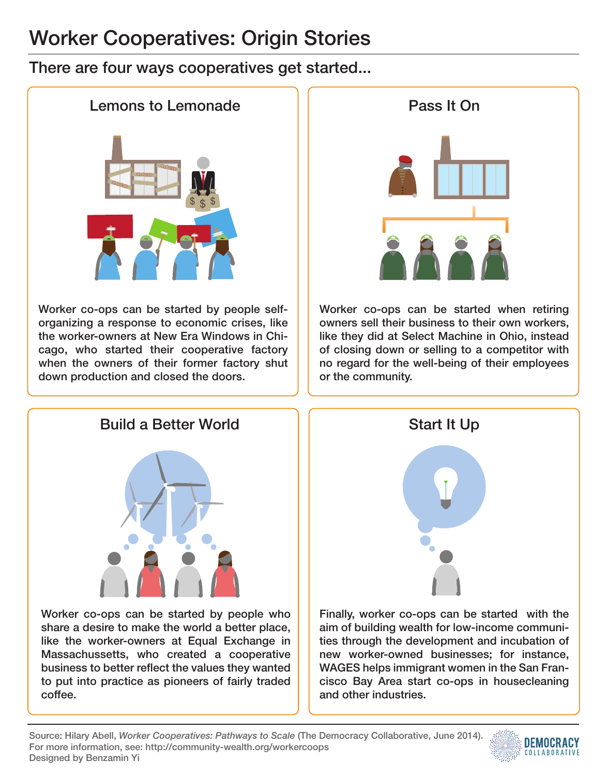## Worker Cooperatives: Origin Stories

## There are four ways cooperatives get started...



Worker co-ops can be started by people selforganizing a response to economic crises, like the worker-owners at New Era Windows in Chicago, who started their cooperative factory when the owners of their former factory shut down production and closed the doors.



Worker co-ops can be started when retiring owners sell their business to their own workers, like they did at Select Machine in Ohio, instead of closing down or selling to a competitor with no regard for the well-being of their employees or the community.



Worker co-ops can be started by people who share a desire to make the world a better place, like the worker-owners at Equal Exchange in Massachussetts, who created a cooperative business to better reflect the values they wanted to put into practice as pioneers of fairly traded coffee.



Finally, worker co-ops can be started with the aim of building wealth for low-income communities through the development and incubation of new worker-owned businesses; for instance, WAGES helps immigrant women in the San Francisco Bay Area start co-ops in housecleaning and other industries.